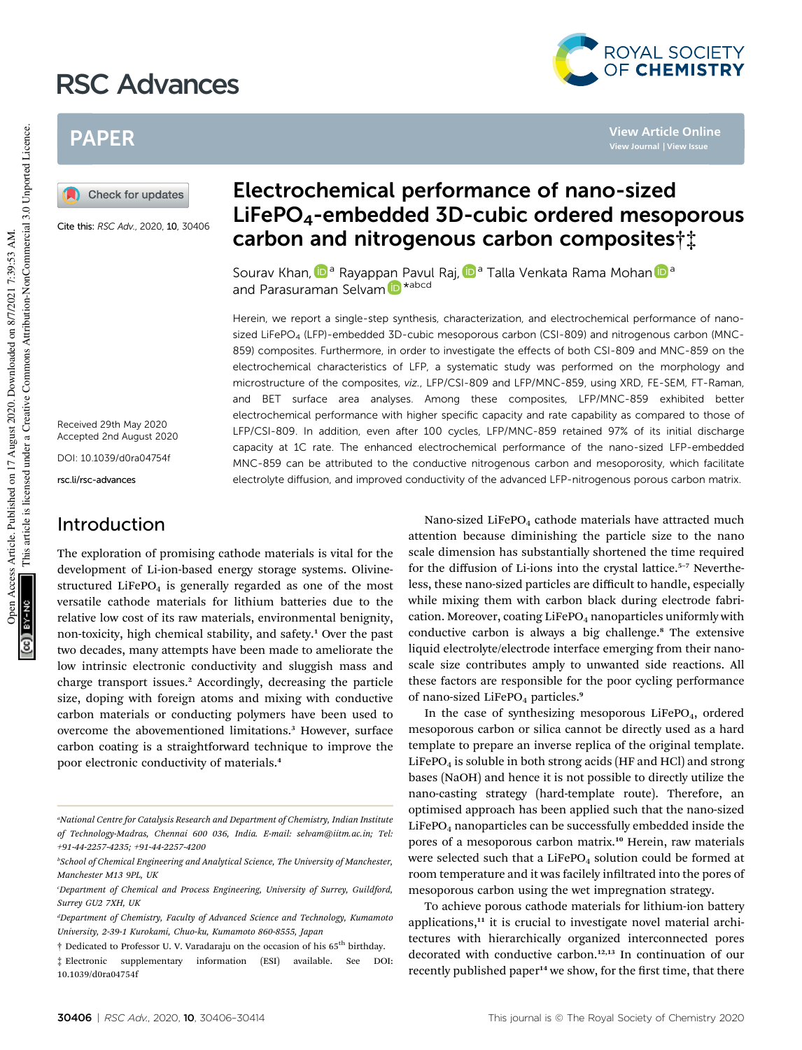# RSC Advances



**View Article Online**

## PAPER

Check for updates

Cite this: RSC Adv., 2020, 10, 30406

Received 29th May 2020 Accepted 2nd August 2020

DOI: 10.1039/d0ra04754f

rsc.li/rsc-advances

## Introduction

The exploration of promising cathode materials is vital for the development of Li-ion-based energy storage systems. Olivinestructured LiFePO<sub>4</sub> is generally regarded as one of the most versatile cathode materials for lithium batteries due to the relative low cost of its raw materials, environmental benignity, non-toxicity, high chemical stability, and safety.<sup>1</sup> Over the past two decades, many attempts have been made to ameliorate the low intrinsic electronic conductivity and sluggish mass and charge transport issues.<sup>2</sup> Accordingly, decreasing the particle size, doping with foreign atoms and mixing with conductive carbon materials or conducting polymers have been used to overcome the abovementioned limitations.<sup>3</sup> However, surface carbon coating is a straightforward technique to improve the poor electronic conductivity of materials.<sup>4</sup>

## Electrochemical performance of nano-sized LiFePO4-embedded 3D-cubic ordered mesoporous carbon and nitrogenous carbon composites†‡

Sourav Khan, D<sup>a</sup> Rayappan Pavul Raj, D<sup>a</sup> Talla Venkata Rama Mohan D<sup>a</sup> and Parasuraman Selvam D \* abcd

Herein, we report a single-step synthesis, characterization, and electrochemical performance of nanosized LiFePO<sub>4</sub> (LFP)-embedded 3D-cubic mesoporous carbon (CSI-809) and nitrogenous carbon (MNC-859) composites. Furthermore, in order to investigate the effects of both CSI-809 and MNC-859 on the electrochemical characteristics of LFP, a systematic study was performed on the morphology and microstructure of the composites, viz., LFP/CSI-809 and LFP/MNC-859, using XRD, FE-SEM, FT-Raman, and BET surface area analyses. Among these composites, LFP/MNC-859 exhibited better electrochemical performance with higher specific capacity and rate capability as compared to those of LFP/CSI-809. In addition, even after 100 cycles, LFP/MNC-859 retained 97% of its initial discharge capacity at 1C rate. The enhanced electrochemical performance of the nano-sized LFP-embedded MNC-859 can be attributed to the conductive nitrogenous carbon and mesoporosity, which facilitate electrolyte diffusion, and improved conductivity of the advanced LFP-nitrogenous porous carbon matrix.

> Nano-sized LiFePO<sub>4</sub> cathode materials have attracted much attention because diminishing the particle size to the nano scale dimension has substantially shortened the time required for the diffusion of Li-ions into the crystal lattice.<sup>5-7</sup> Nevertheless, these nano-sized particles are difficult to handle, especially while mixing them with carbon black during electrode fabrication. Moreover, coating LiFePO<sub>4</sub> nanoparticles uniformly with conductive carbon is always a big challenge.<sup>8</sup> The extensive liquid electrolyte/electrode interface emerging from their nanoscale size contributes amply to unwanted side reactions. All these factors are responsible for the poor cycling performance of nano-sized LiFePO<sub>4</sub> particles.<sup>9</sup>

> In the case of synthesizing mesoporous  $LiFePO<sub>4</sub>$ , ordered mesoporous carbon or silica cannot be directly used as a hard template to prepare an inverse replica of the original template.  $LiFePO<sub>4</sub>$  is soluble in both strong acids (HF and HCl) and strong bases (NaOH) and hence it is not possible to directly utilize the nano-casting strategy (hard-template route). Therefore, an optimised approach has been applied such that the nano-sized  $LiFePO<sub>4</sub>$  nanoparticles can be successfully embedded inside the pores of a mesoporous carbon matrix.<sup>10</sup> Herein, raw materials were selected such that a LiFePO<sub>4</sub> solution could be formed at room temperature and it was facilely infiltrated into the pores of mesoporous carbon using the wet impregnation strategy.

> To achieve porous cathode materials for lithium-ion battery applications, $11$  it is crucial to investigate novel material architectures with hierarchically organized interconnected pores decorated with conductive carbon.<sup>12,13</sup> In continuation of our recently published paper<sup>14</sup> we show, for the first time, that there

*<sup>a</sup>National Centre for Catalysis Research and Department of Chemistry, Indian Institute of Technology-Madras, Chennai 600 036, India. E-mail: selvam@iitm.ac.in; Tel: +91-44-2257-4235; +91-44-2257-4200*

*<sup>b</sup>School of Chemical Engineering and Analytical Science, The University of Manchester, Manchester M13 9PL, UK*

*<sup>c</sup>Department of Chemical and Process Engineering, University of Surrey, Guildford, Surrey GU2 7XH, UK*

*<sup>d</sup>Department of Chemistry, Faculty of Advanced Science and Technology, Kumamoto University, 2-39-1 Kurokami, Chuo-ku, Kumamoto 860-8555, Japan*

<sup>†</sup> Dedicated to Professor U. V. Varadaraju on the occasion of his 65th birthday.

<sup>‡</sup> Electronic supplementary information (ESI) available. See DOI: 10.1039/d0ra04754f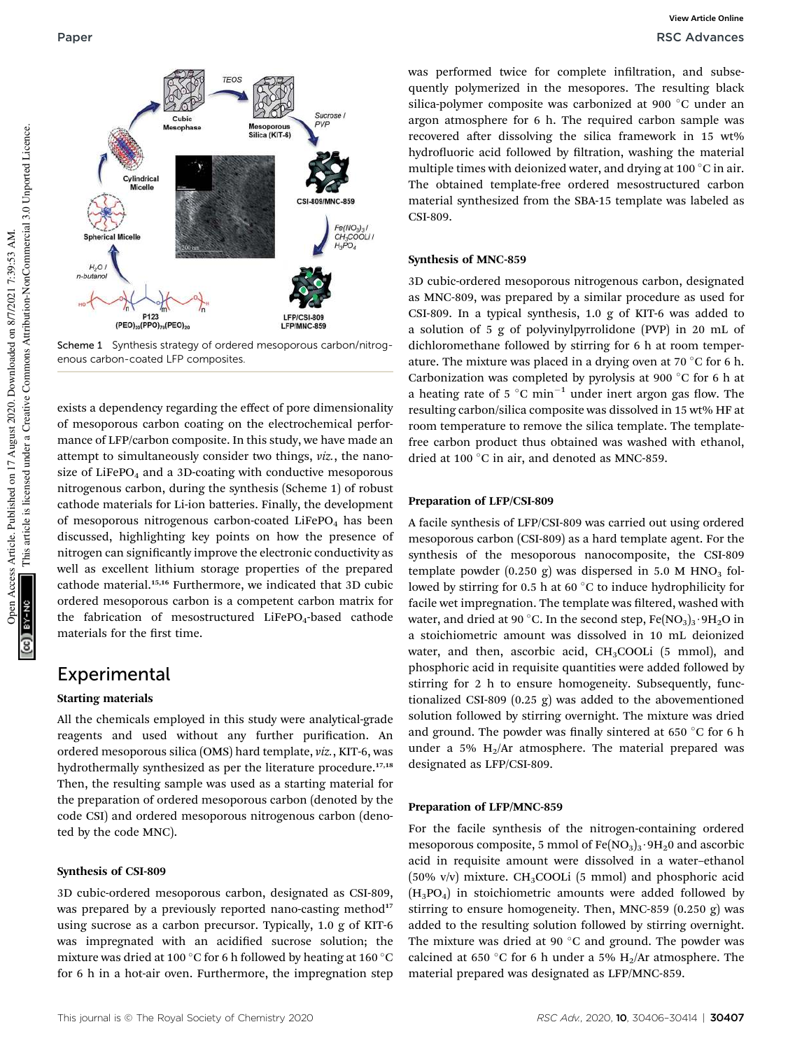

Scheme 1 Synthesis strategy of ordered mesoporous carbon/nitrogenous carbon-coated LFP composites.

exists a dependency regarding the effect of pore dimensionality of mesoporous carbon coating on the electrochemical performance of LFP/carbon composite. In this study, we have made an attempt to simultaneously consider two things, *viz.*, the nanosize of LiFePO<sub>4</sub> and a 3D-coating with conductive mesoporous nitrogenous carbon, during the synthesis (Scheme 1) of robust cathode materials for Li-ion batteries. Finally, the development of mesoporous nitrogenous carbon-coated  $LiFePO<sub>4</sub>$  has been discussed, highlighting key points on how the presence of nitrogen can signicantly improve the electronic conductivity as well as excellent lithium storage properties of the prepared cathode material.15,16 Furthermore, we indicated that 3D cubic ordered mesoporous carbon is a competent carbon matrix for the fabrication of mesostructured  $LifePO<sub>4</sub>$ -based cathode materials for the first time.

## Experimental

#### Starting materials

All the chemicals employed in this study were analytical-grade reagents and used without any further purification. An ordered mesoporous silica (OMS) hard template, *viz.*, KIT-6, was hydrothermally synthesized as per the literature procedure.<sup>17,18</sup> Then, the resulting sample was used as a starting material for the preparation of ordered mesoporous carbon (denoted by the code CSI) and ordered mesoporous nitrogenous carbon (denoted by the code MNC).

#### Synthesis of CSI-809

3D cubic-ordered mesoporous carbon, designated as CSI-809, was prepared by a previously reported nano-casting method<sup>17</sup> using sucrose as a carbon precursor. Typically, 1.0 g of KIT-6 was impregnated with an acidified sucrose solution; the mixture was dried at 100 °C for 6 h followed by heating at 160 °C for 6 h in a hot-air oven. Furthermore, the impregnation step

was performed twice for complete infiltration, and subsequently polymerized in the mesopores. The resulting black silica-polymer composite was carbonized at 900 °C under an argon atmosphere for 6 h. The required carbon sample was recovered after dissolving the silica framework in 15 wt% hydrofluoric acid followed by filtration, washing the material multiple times with deionized water, and drying at 100 $\degree$ C in air. The obtained template-free ordered mesostructured carbon material synthesized from the SBA-15 template was labeled as CSI-809.

#### Synthesis of MNC-859

3D cubic-ordered mesoporous nitrogenous carbon, designated as MNC-809, was prepared by a similar procedure as used for CSI-809. In a typical synthesis, 1.0 g of KIT-6 was added to a solution of 5 g of polyvinylpyrrolidone (PVP) in 20 mL of dichloromethane followed by stirring for 6 h at room temperature. The mixture was placed in a drying oven at 70  $\degree$ C for 6 h. Carbonization was completed by pyrolysis at 900  $\degree$ C for 6 h at a heating rate of 5  $^{\circ}$ C min<sup>-1</sup> under inert argon gas flow. The resulting carbon/silica composite was dissolved in 15 wt% HF at room temperature to remove the silica template. The templatefree carbon product thus obtained was washed with ethanol, dried at 100 $^{\circ}$ C in air, and denoted as MNC-859.

#### Preparation of LFP/CSI-809

A facile synthesis of LFP/CSI-809 was carried out using ordered mesoporous carbon (CSI-809) as a hard template agent. For the synthesis of the mesoporous nanocomposite, the CSI-809 template powder  $(0.250 \text{ g})$  was dispersed in 5.0 M HNO<sub>3</sub> followed by stirring for 0.5 h at 60 $\degree$ C to induce hydrophilicity for facile wet impregnation. The template was filtered, washed with water, and dried at 90 °C. In the second step,  $Fe(NO<sub>3</sub>)<sub>3</sub>·9H<sub>2</sub>O$  in a stoichiometric amount was dissolved in 10 mL deionized water, and then, ascorbic acid,  $CH<sub>3</sub>COOLi$  (5 mmol), and phosphoric acid in requisite quantities were added followed by stirring for 2 h to ensure homogeneity. Subsequently, functionalized CSI-809 (0.25 g) was added to the abovementioned solution followed by stirring overnight. The mixture was dried and ground. The powder was finally sintered at 650  $^{\circ}$ C for 6 h under a 5%  $H_2/Ar$  atmosphere. The material prepared was designated as LFP/CSI-809.

#### Preparation of LFP/MNC-859

For the facile synthesis of the nitrogen-containing ordered mesoporous composite, 5 mmol of  $Fe(NO<sub>3</sub>)<sub>3</sub>·9H<sub>2</sub>0$  and ascorbic acid in requisite amount were dissolved in a water–ethanol  $(50\% \text{ v/v})$  mixture. CH<sub>3</sub>COOLi (5 mmol) and phosphoric acid  $(H_3PO_4)$  in stoichiometric amounts were added followed by stirring to ensure homogeneity. Then, MNC-859 (0.250 g) was added to the resulting solution followed by stirring overnight. The mixture was dried at 90 $\degree$ C and ground. The powder was calcined at 650 °C for 6 h under a 5%  $H_2/Ar$  atmosphere. The material prepared was designated as LFP/MNC-859.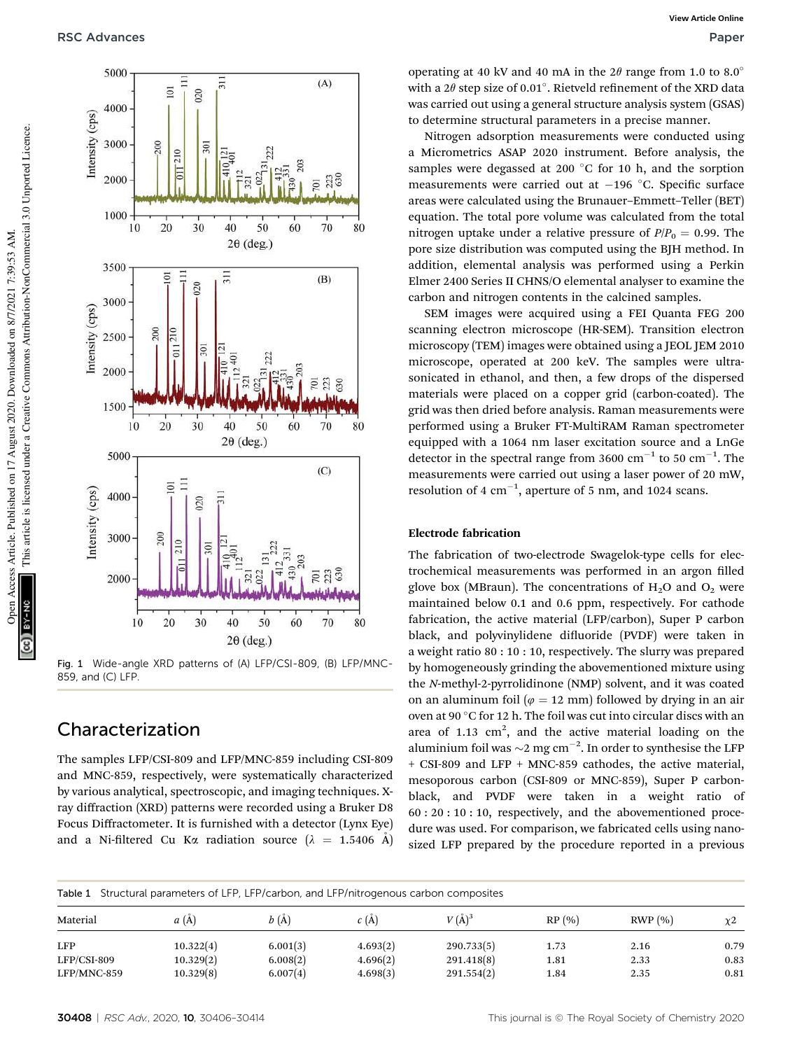

 $(A)$ 

 $\frac{23}{630}$ 

70

 $(B)$ 

 $\overline{10}$ 223 630

70

 $(C)$ 

**701**<br>223<br>630

70

80

80

80

Fig. 1 Wide-angle XRD patterns of (A) LFP/CSI-809, (B) LFP/MNC-859, and (C) LFP.

## Characterization

The samples LFP/CSI-809 and LFP/MNC-859 including CSI-809 and MNC-859, respectively, were systematically characterized by various analytical, spectroscopic, and imaging techniques. Xray diffraction (XRD) patterns were recorded using a Bruker D8 Focus Diffractometer. It is furnished with a detector (Lynx Eye) and a Ni-filtered Cu K $\alpha$  radiation source ( $\lambda = 1.5406$  Å)

operating at 40 kV and 40 mA in the  $2\theta$  range from 1.0 to 8.0° with a  $2\theta$  step size of 0.01°. Rietveld refinement of the XRD data was carried out using a general structure analysis system (GSAS) to determine structural parameters in a precise manner.

Nitrogen adsorption measurements were conducted using a Micrometrics ASAP 2020 instrument. Before analysis, the samples were degassed at 200  $^{\circ}$ C for 10 h, and the sorption measurements were carried out at  $-196$  °C. Specific surface areas were calculated using the Brunauer–Emmett–Teller (BET) equation. The total pore volume was calculated from the total nitrogen uptake under a relative pressure of  $P/P_0 = 0.99$ . The pore size distribution was computed using the BJH method. In addition, elemental analysis was performed using a Perkin Elmer 2400 Series II CHNS/O elemental analyser to examine the carbon and nitrogen contents in the calcined samples.

SEM images were acquired using a FEI Quanta FEG 200 scanning electron microscope (HR-SEM). Transition electron microscopy (TEM) images were obtained using a JEOL JEM 2010 microscope, operated at 200 keV. The samples were ultrasonicated in ethanol, and then, a few drops of the dispersed materials were placed on a copper grid (carbon-coated). The grid was then dried before analysis. Raman measurements were performed using a Bruker FT-MultiRAM Raman spectrometer equipped with a 1064 nm laser excitation source and a LnGe detector in the spectral range from 3600  $\text{cm}^{-1}$  to 50  $\text{cm}^{-1}$ . The measurements were carried out using a laser power of 20 mW, resolution of 4  $cm^{-1}$ , aperture of 5 nm, and 1024 scans.

#### Electrode fabrication

The fabrication of two-electrode Swagelok-type cells for electrochemical measurements was performed in an argon filled glove box (MBraun). The concentrations of  $H_2O$  and  $O_2$  were maintained below 0.1 and 0.6 ppm, respectively. For cathode fabrication, the active material (LFP/carbon), Super P carbon black, and polyvinylidene difluoride (PVDF) were taken in a weight ratio 80 : 10 : 10, respectively. The slurry was prepared by homogeneously grinding the abovementioned mixture using the *N*-methyl-2-pyrrolidinone (NMP) solvent, and it was coated on an aluminum foil ( $\varphi = 12$  mm) followed by drying in an air oven at 90  $\degree$ C for 12 h. The foil was cut into circular discs with an area of  $1.13 \text{ cm}^2$ , and the active material loading on the aluminium foil was  ${\sim}2$  mg cm $^{-2}$ . In order to synthesise the LFP + CSI-809 and LFP + MNC-859 cathodes, the active material, mesoporous carbon (CSI-809 or MNC-859), Super P carbonblack, and PVDF were taken in a weight ratio of 60 : 20 : 10 : 10, respectively, and the abovementioned procedure was used. For comparison, we fabricated cells using nanosized LFP prepared by the procedure reported in a previous

| Structural parameters of LFP, LFP/carbon, and LFP/nitrogenous carbon composites<br>Table 1 |           |          |          |            |       |        |          |  |
|--------------------------------------------------------------------------------------------|-----------|----------|----------|------------|-------|--------|----------|--|
| Material                                                                                   | a(A)      | b(A)     | c(A)     | $V(\AA)^3$ | RP(%) | RWP(%) | $\chi$ 2 |  |
| LFP                                                                                        | 10.322(4) | 6.001(3) | 4.693(2) | 290.733(5) | 1.73  | 2.16   | 0.79     |  |
| LFP/CSI-809                                                                                | 10.329(2) | 6.008(2) | 4.696(2) | 291.418(8) | 1.81  | 2.33   | 0.83     |  |
| LFP/MNC-859                                                                                | 10.329(8) | 6.007(4) | 4.698(3) | 291.554(2) | 1.84  | 2.35   | 0.81     |  |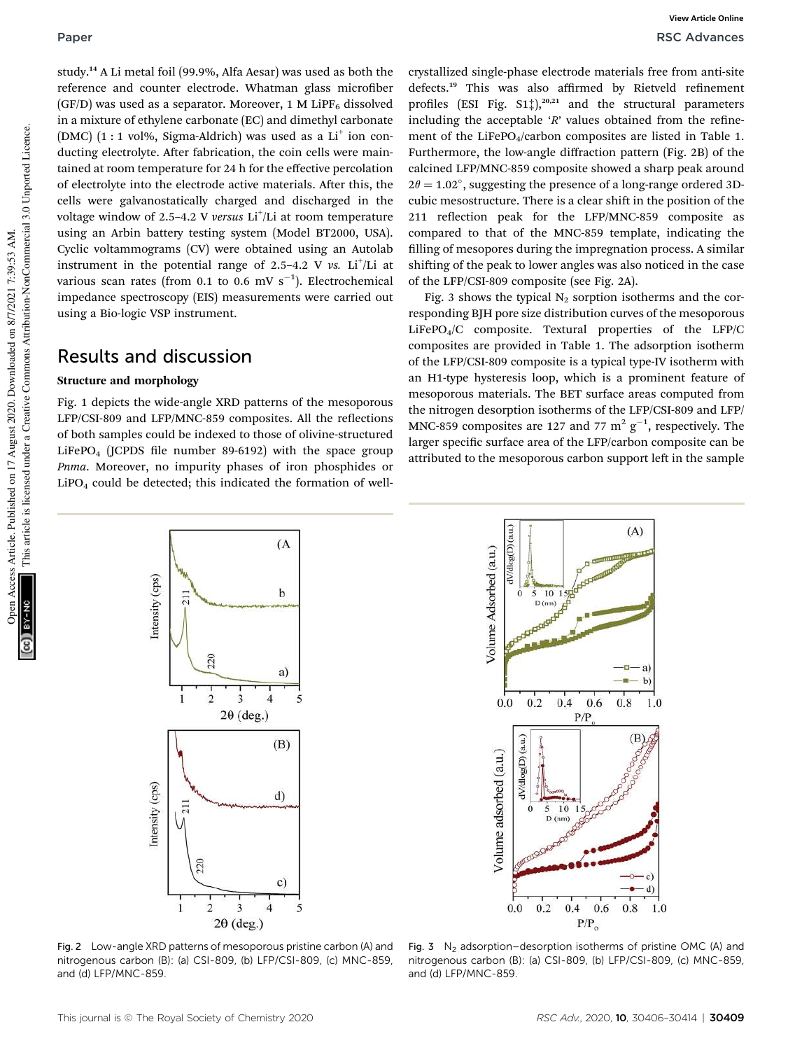study.<sup>14</sup> A Li metal foil (99.9%, Alfa Aesar) was used as both the reference and counter electrode. Whatman glass microfiber (GF/D) was used as a separator. Moreover, 1 M LiPF<sub>6</sub> dissolved in a mixture of ethylene carbonate (EC) and dimethyl carbonate  $(DMC)$   $(1:1$  vol%, Sigma-Aldrich) was used as a Li<sup>+</sup> ion conducting electrolyte. After fabrication, the coin cells were maintained at room temperature for 24 h for the effective percolation of electrolyte into the electrode active materials. After this, the cells were galvanostatically charged and discharged in the voltage window of 2.5–4.2 V *versus* Li<sup>+</sup>/Li at room temperature using an Arbin battery testing system (Model BT2000, USA). Cyclic voltammograms (CV) were obtained using an Autolab instrument in the potential range of  $2.5-4.2$  V  $vs.$  Li<sup>+</sup>/Li at various scan rates (from 0.1 to 0.6 mV  $s^{-1}$ ). Electrochemical impedance spectroscopy (EIS) measurements were carried out using a Bio-logic VSP instrument.

## Results and discussion

#### Structure and morphology

Fig. 1 depicts the wide-angle XRD patterns of the mesoporous LFP/CSI-809 and LFP/MNC-859 composites. All the reflections of both samples could be indexed to those of olivine-structured  $LiFePO<sub>4</sub>$  (JCPDS file number 89-6192) with the space group *Pnma*. Moreover, no impurity phases of iron phosphides or  $LiPO<sub>4</sub>$  could be detected; this indicated the formation of wellcrystallized single-phase electrode materials free from anti-site defects.<sup>19</sup> This was also affirmed by Rietveld refinement profiles (ESI Fig.  $S1\ddagger$ ),<sup>20,21</sup> and the structural parameters including the acceptable  $'R'$  values obtained from the refinement of the LiFePO<sub>4</sub>/carbon composites are listed in Table 1. Furthermore, the low-angle diffraction pattern (Fig. 2B) of the calcined LFP/MNC-859 composite showed a sharp peak around  $2\theta = 1.02^{\circ}$ , suggesting the presence of a long-range ordered 3Dcubic mesostructure. There is a clear shift in the position of the 211 reflection peak for the LFP/MNC-859 composite as compared to that of the MNC-859 template, indicating the filling of mesopores during the impregnation process. A similar shifting of the peak to lower angles was also noticed in the case of the LFP/CSI-809 composite (see Fig. 2A).

Fig. 3 shows the typical  $N_2$  sorption isotherms and the corresponding BJH pore size distribution curves of the mesoporous LiFePO4/C composite. Textural properties of the LFP/C composites are provided in Table 1. The adsorption isotherm of the LFP/CSI-809 composite is a typical type-IV isotherm with an H1-type hysteresis loop, which is a prominent feature of mesoporous materials. The BET surface areas computed from the nitrogen desorption isotherms of the LFP/CSI-809 and LFP/ MNC-859 composites are 127 and 77  $m^2$   $g^{-1}$ , respectively. The larger specific surface area of the LFP/carbon composite can be attributed to the mesoporous carbon support left in the sample

 $(A)$ 



dV/dlog(D) (a.u.) Volume Adsorbed (a.u.)  $10 \t15$  $\Omega$  $\overline{5}$  $D$ (nm) a)  $b)$  $0.4$  $0.6$  $0.8$  $0.2$  $0.0$ 1.0  $P/P$ (B dV/dlog(D) (a.u.) Volume adsorbed (a.u.)  $10$ 5  $D(nm)$  $\mathbf{c}$ d)  $0.0$  $0.2$  $0.4$ 0.6  $0.8$ 1.0  $P/P_0$ 

Fig. 2 Low-angle XRD patterns of mesoporous pristine carbon (A) and nitrogenous carbon (B): (a) CSI-809, (b) LFP/CSI-809, (c) MNC-859, and (d) LFP/MNC-859.

Fig. 3  $\,$  N<sub>2</sub> adsorption–desorption isotherms of pristine OMC (A) and nitrogenous carbon (B): (a) CSI-809, (b) LFP/CSI-809, (c) MNC-859, and (d) LFP/MNC-859.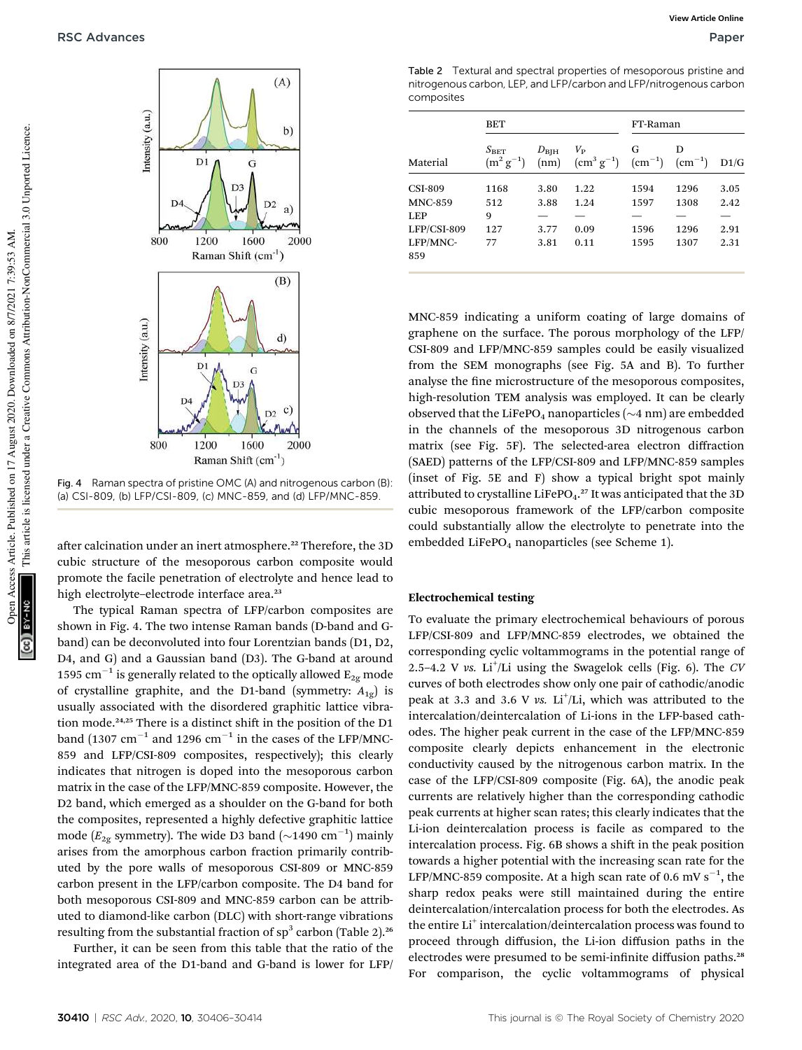

Fig. 4 Raman spectra of pristine OMC (A) and nitrogenous carbon (B): (a) CSI-809, (b) LFP/CSI-809, (c) MNC-859, and (d) LFP/MNC-859.

after calcination under an inert atmosphere.<sup>22</sup> Therefore, the 3D cubic structure of the mesoporous carbon composite would promote the facile penetration of electrolyte and hence lead to high electrolyte-electrode interface area.<sup>23</sup>

The typical Raman spectra of LFP/carbon composites are shown in Fig. 4. The two intense Raman bands (D-band and Gband) can be deconvoluted into four Lorentzian bands (D1, D2, D4, and G) and a Gaussian band (D3). The G-band at around 1595  $\mathrm{cm}^{-1}$  is generally related to the optically allowed  $\mathrm{E_{2g}}$  mode of crystalline graphite, and the D1-band (symmetry:  $A_{1g}$ ) is usually associated with the disordered graphitic lattice vibration mode.<sup>24,25</sup> There is a distinct shift in the position of the D1 band  $(1307 \text{ cm}^{-1}$  and 1296  $\text{cm}^{-1}$  in the cases of the LFP/MNC-859 and LFP/CSI-809 composites, respectively); this clearly indicates that nitrogen is doped into the mesoporous carbon matrix in the case of the LFP/MNC-859 composite. However, the D2 band, which emerged as a shoulder on the G-band for both the composites, represented a highly defective graphitic lattice mode ( $E_{2g}$  symmetry). The wide D3 band ( $\sim$ 1490 cm<sup>-1</sup>) mainly arises from the amorphous carbon fraction primarily contributed by the pore walls of mesoporous CSI-809 or MNC-859 carbon present in the LFP/carbon composite. The D4 band for both mesoporous CSI-809 and MNC-859 carbon can be attributed to diamond-like carbon (DLC) with short-range vibrations resulting from the substantial fraction of  $sp^3$  carbon (Table 2). $^{26}$ 

Further, it can be seen from this table that the ratio of the integrated area of the D1-band and G-band is lower for LFP/

Table 2 Textural and spectral properties of mesoporous pristine and nitrogenous carbon, LEP, and LFP/carbon and LFP/nitrogenous carbon composites

|                 | <b>BET</b>                      |                       |                                      | FT-Raman |                              |      |
|-----------------|---------------------------------|-----------------------|--------------------------------------|----------|------------------------------|------|
| Material        | $S_{\rm BET}$<br>$(m^2 g^{-1})$ | $D_{\rm BIH}$<br>(nm) | $V_{\rm p}$<br>$\rm (cm^3 \ g^{-1})$ | G        | D<br>$(cm^{-1})$ $(cm^{-1})$ | D1/G |
| <b>CSI-809</b>  | 1168                            | 3.80                  | 1.22                                 | 1594     | 1296                         | 3.05 |
| <b>MNC-859</b>  | 512                             | 3.88                  | 1.24                                 | 1597     | 1308                         | 2.42 |
| <b>LEP</b>      | 9                               |                       |                                      |          |                              |      |
| LFP/CSI-809     | 127                             | 3.77                  | 0.09                                 | 1596     | 1296                         | 2.91 |
| LFP/MNC-<br>859 | 77                              | 3.81                  | 0.11                                 | 1595     | 1307                         | 2.31 |

MNC-859 indicating a uniform coating of large domains of graphene on the surface. The porous morphology of the LFP/ CSI-809 and LFP/MNC-859 samples could be easily visualized from the SEM monographs (see Fig. 5A and B). To further analyse the fine microstructure of the mesoporous composites, high-resolution TEM analysis was employed. It can be clearly observed that the LiFePO<sub>4</sub> nanoparticles ( $\sim$ 4 nm) are embedded in the channels of the mesoporous 3D nitrogenous carbon matrix (see Fig. 5F). The selected-area electron diffraction (SAED) patterns of the LFP/CSI-809 and LFP/MNC-859 samples (inset of Fig. 5E and F) show a typical bright spot mainly attributed to crystalline LiFePO<sub>4</sub>.<sup>27</sup> It was anticipated that the 3D cubic mesoporous framework of the LFP/carbon composite could substantially allow the electrolyte to penetrate into the embedded LiFePO<sub>4</sub> nanoparticles (see Scheme 1).

#### Electrochemical testing

To evaluate the primary electrochemical behaviours of porous LFP/CSI-809 and LFP/MNC-859 electrodes, we obtained the corresponding cyclic voltammograms in the potential range of 2.5-4.2 V vs. Li<sup>+</sup>/Li using the Swagelok cells (Fig. 6). The *CV* curves of both electrodes show only one pair of cathodic/anodic peak at 3.3 and 3.6 V vs. Li<sup>+</sup>/Li, which was attributed to the intercalation/deintercalation of Li-ions in the LFP-based cathodes. The higher peak current in the case of the LFP/MNC-859 composite clearly depicts enhancement in the electronic conductivity caused by the nitrogenous carbon matrix. In the case of the LFP/CSI-809 composite (Fig. 6A), the anodic peak currents are relatively higher than the corresponding cathodic peak currents at higher scan rates; this clearly indicates that the Li-ion deintercalation process is facile as compared to the intercalation process. Fig. 6B shows a shift in the peak position towards a higher potential with the increasing scan rate for the LFP/MNC-859 composite. At a high scan rate of 0.6 mV  $s^{-1}$ , the sharp redox peaks were still maintained during the entire deintercalation/intercalation process for both the electrodes. As the entire Li<sup>+</sup> intercalation/deintercalation process was found to proceed through diffusion, the Li-ion diffusion paths in the electrodes were presumed to be semi-infinite diffusion paths.<sup>28</sup> For comparison, the cyclic voltammograms of physical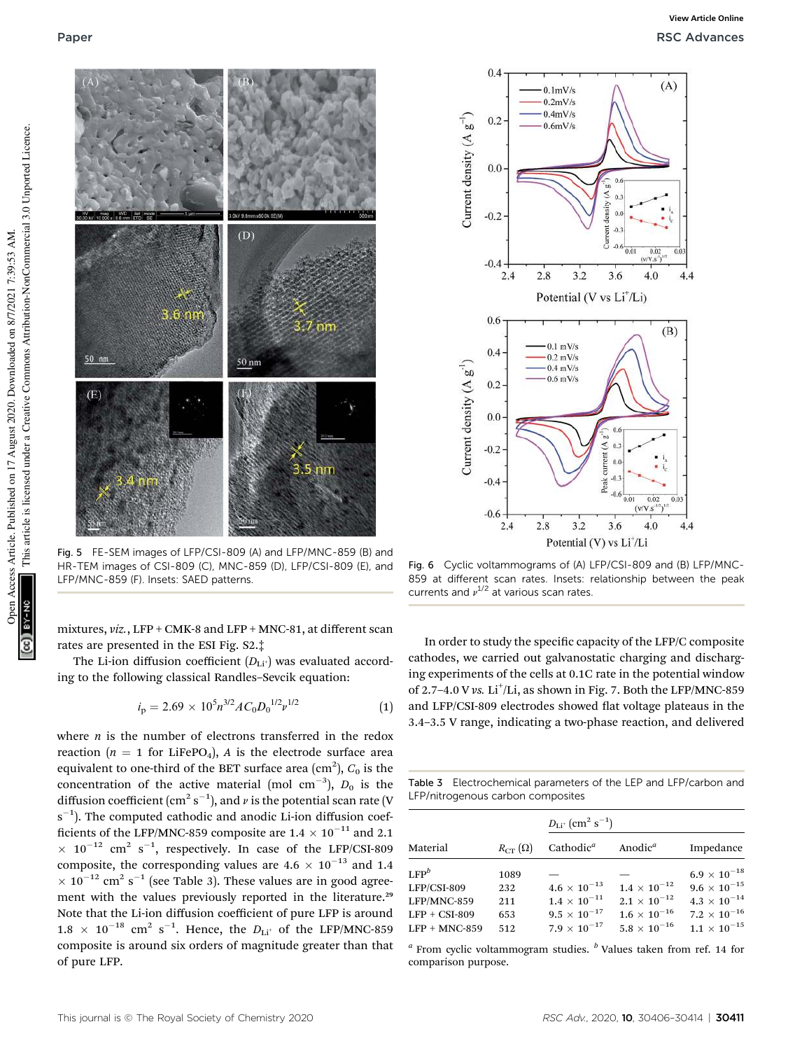

Fig. 5 FE-SEM images of LFP/CSI-809 (A) and LFP/MNC-859 (B) and HR-TEM images of CSI-809 (C), MNC-859 (D), LFP/CSI-809 (E), and LFP/MNC-859 (F). Insets: SAED patterns.

mixtures, *viz.*, LFP + CMK-8 and LFP + MNC-81, at different scan rates are presented in the ESI Fig. S2.‡

The Li-ion diffusion coefficient  $(D_{\text{Li}^+})$  was evaluated according to the following classical Randles–Sevcik equation:

$$
i_{\rm p} = 2.69 \times 10^5 n^{3/2} A C_0 D_0^{1/2} \nu^{1/2}
$$
 (1)

where *n* is the number of electrons transferred in the redox reaction ( $n = 1$  for LiFePO<sub>4</sub>), *A* is the electrode surface area equivalent to one-third of the BET surface area  $(\text{cm}^2)$ ,  $C_0$  is the concentration of the active material (mol  $cm^{-3}$ ),  $D_0$  is the diffusion coefficient (cm $^2$  s $^{-1}$ ), and  $\nu$  is the potential scan rate (V s<sup>-1</sup>). The computed cathodic and anodic Li-ion diffusion coefficients of the LFP/MNC-859 composite are  $1.4 \times 10^{-11}$  and 2.1  $\times$  10<sup>-12</sup> cm<sup>2</sup> s<sup>-1</sup>, respectively. In case of the LFP/CSI-809 composite, the corresponding values are  $4.6 \times 10^{-13}$  and 1.4  $\times$  10<sup>-12</sup> cm<sup>2</sup> s<sup>-1</sup> (see Table 3). These values are in good agreement with the values previously reported in the literature.<sup>29</sup> Note that the Li-ion diffusion coefficient of pure LFP is around  $1.8 \times 10^{-18}$  cm<sup>2</sup> s<sup>-1</sup>. Hence, the  $D_{Li^+}$  of the LFP/MNC-859 composite is around six orders of magnitude greater than that of pure LFP.



Fig. 6 Cyclic voltammograms of (A) LFP/CSI-809 and (B) LFP/MNC-859 at different scan rates. Insets: relationship between the peak currents and  $v^{1/2}$  at various scan rates.

In order to study the specific capacity of the LFP/C composite cathodes, we carried out galvanostatic charging and discharging experiments of the cells at 0.1C rate in the potential window of 2.7-4.0 V vs. Li<sup>+</sup>/Li, as shown in Fig. 7. Both the LFP/MNC-859 and LFP/CSI-809 electrodes showed flat voltage plateaus in the 3.4–3.5 V range, indicating a two-phase reaction, and delivered

Table 3 Electrochemical parameters of the LEP and LFP/carbon and LFP/nitrogenous carbon composites

|                 |                  | $D_{\text{Li}^+}$ (cm <sup>2</sup> s <sup>-1</sup> ) |                       |                       |  |
|-----------------|------------------|------------------------------------------------------|-----------------------|-----------------------|--|
| Material        | $R_{CT}(\Omega)$ | Cathodic <sup><math>a</math></sup>                   | Anodic <sup>a</sup>   | Impedance             |  |
| $LEP^b$         | 1089             |                                                      |                       | $6.9 \times 10^{-18}$ |  |
| $LFP/CSI-809$   | 232              | $4.6 \times 10^{-13}$                                | $1.4 \times 10^{-12}$ | $9.6\times10^{-15}$   |  |
| LFP/MNC-859     | 211              | $1.4\times10^{-11}$                                  | $2.1 \times 10^{-12}$ | $4.3\times10^{-14}$   |  |
| $LFP + CSI-809$ | 653              | $9.5 \times 10^{-17}$                                | $1.6 \times 10^{-16}$ | $7.2\times10^{-16}$   |  |
| $LFP + MNC-859$ | 512              | $7.9 \times 10^{-17}$                                | $5.8 \times 10^{-16}$ | $1.1\times10^{-15}$   |  |

*a* From cyclic voltammogram studies. *<sup>b</sup>* Values taken from ref. 14 for comparison purpose.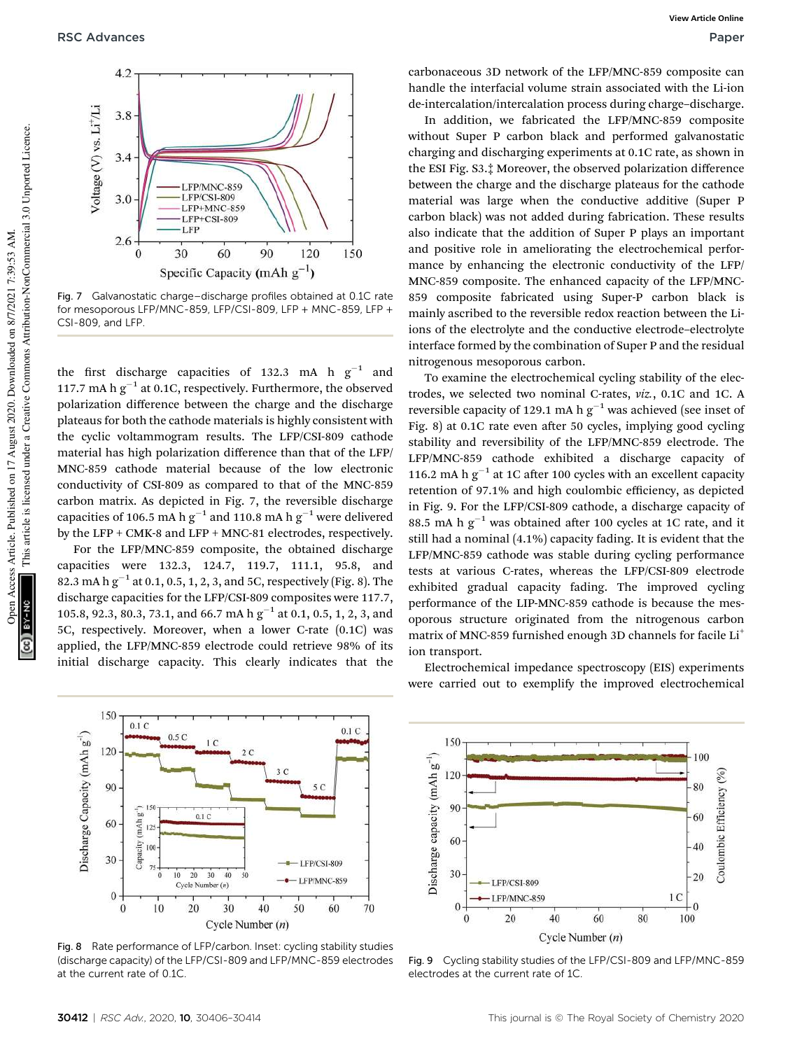

Fig. 7 Galvanostatic charge–discharge profiles obtained at 0.1C rate for mesoporous LFP/MNC-859, LFP/CSI-809, LFP + MNC-859, LFP + CSI-809, and LFP.

the first discharge capacities of 132.3 mA h  $g^{-1}$  and 117.7 mA h  $g^{-1}$  at 0.1C, respectively. Furthermore, the observed polarization difference between the charge and the discharge plateaus for both the cathode materials is highly consistent with the cyclic voltammogram results. The LFP/CSI-809 cathode material has high polarization difference than that of the LFP/ MNC-859 cathode material because of the low electronic conductivity of CSI-809 as compared to that of the MNC-859 carbon matrix. As depicted in Fig. 7, the reversible discharge capacities of 106.5 mA h  $g^{-1}$  and 110.8 mA h  $g^{-1}$  were delivered by the LFP + CMK-8 and LFP + MNC-81 electrodes, respectively.

For the LFP/MNC-859 composite, the obtained discharge capacities were 132.3, 124.7, 119.7, 111.1, 95.8, and 82.3 mA h  $g^{-1}$  at 0.1, 0.5, 1, 2, 3, and 5C, respectively (Fig. 8). The discharge capacities for the LFP/CSI-809 composites were 117.7, 105.8, 92.3, 80.3, 73.1, and 66.7 mA  $h\,g^{-1}$  at 0.1, 0.5, 1, 2, 3, and 5C, respectively. Moreover, when a lower C-rate (0.1C) was applied, the LFP/MNC-859 electrode could retrieve 98% of its initial discharge capacity. This clearly indicates that the

carbonaceous 3D network of the LFP/MNC-859 composite can handle the interfacial volume strain associated with the Li-ion de-intercalation/intercalation process during charge–discharge.

In addition, we fabricated the LFP/MNC-859 composite without Super P carbon black and performed galvanostatic charging and discharging experiments at 0.1C rate, as shown in the ESI Fig. S3.‡ Moreover, the observed polarization difference between the charge and the discharge plateaus for the cathode material was large when the conductive additive (Super P carbon black) was not added during fabrication. These results also indicate that the addition of Super P plays an important and positive role in ameliorating the electrochemical performance by enhancing the electronic conductivity of the LFP/ MNC-859 composite. The enhanced capacity of the LFP/MNC-859 composite fabricated using Super-P carbon black is mainly ascribed to the reversible redox reaction between the Liions of the electrolyte and the conductive electrode–electrolyte interface formed by the combination of Super P and the residual nitrogenous mesoporous carbon.

To examine the electrochemical cycling stability of the electrodes, we selected two nominal C-rates, *viz.*, 0.1C and 1C. A reversible capacity of 129.1 mA h  $g^{-1}$  was achieved (see inset of Fig. 8) at 0.1C rate even after 50 cycles, implying good cycling stability and reversibility of the LFP/MNC-859 electrode. The LFP/MNC-859 cathode exhibited a discharge capacity of 116.2 mA h  $g^{-1}$  at 1C after 100 cycles with an excellent capacity retention of 97.1% and high coulombic efficiency, as depicted in Fig. 9. For the LFP/CSI-809 cathode, a discharge capacity of 88.5 mA h  $g^{-1}$  was obtained after 100 cycles at 1C rate, and it still had a nominal (4.1%) capacity fading. It is evident that the LFP/MNC-859 cathode was stable during cycling performance tests at various C-rates, whereas the LFP/CSI-809 electrode exhibited gradual capacity fading. The improved cycling performance of the LIP-MNC-859 cathode is because the mesoporous structure originated from the nitrogenous carbon matrix of MNC-859 furnished enough 3D channels for facile Li<sup>+</sup> ion transport.

150  $0.1C$  $0.1C$ Discharge Capacity (mAh  $g'$ )  $0.5C$ 120 90  $0.1C$  $(mAh<sub>s</sub>$ 60 Capacity 30 LFP/CSI-809  $\frac{1}{20}$  $30$  $\dot{40}$ LFP/MNC-859 Cycle Number (n)  $\sqrt{ }$ 10  $20$ 30 40 50 60 70  $\theta$ Cycle Number  $(n)$ 

Fig. 8 Rate performance of LFP/carbon. Inset: cycling stability studies (discharge capacity) of the LFP/CSI-809 and LFP/MNC-859 electrodes at the current rate of 0.1C.



Electrochemical impedance spectroscopy (EIS) experiments



Fig. 9 Cycling stability studies of the LFP/CSI-809 and LFP/MNC-859 electrodes at the current rate of 1C.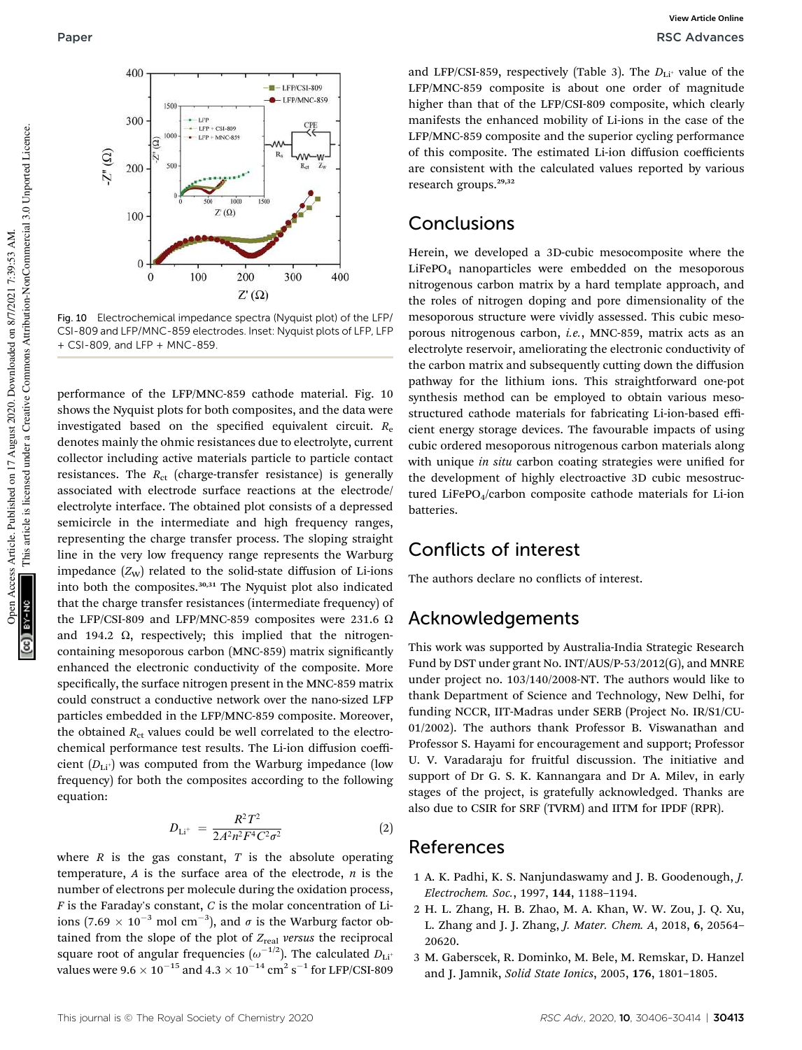

Fig. 10 Electrochemical impedance spectra (Nyquist plot) of the LFP/ CSI-809 and LFP/MNC-859 electrodes. Inset: Nyquist plots of LFP, LFP + CSI-809, and LFP + MNC-859.

performance of the LFP/MNC-859 cathode material. Fig. 10 shows the Nyquist plots for both composites, and the data were investigated based on the specified equivalent circuit.  $R_e$ denotes mainly the ohmic resistances due to electrolyte, current collector including active materials particle to particle contact resistances. The *R<sub>ct</sub>* (charge-transfer resistance) is generally associated with electrode surface reactions at the electrode/ electrolyte interface. The obtained plot consists of a depressed semicircle in the intermediate and high frequency ranges, representing the charge transfer process. The sloping straight line in the very low frequency range represents the Warburg impedance  $(Z_W)$  related to the solid-state diffusion of Li-ions into both the composites.<sup>30,31</sup> The Nyquist plot also indicated that the charge transfer resistances (intermediate frequency) of the LFP/CSI-809 and LFP/MNC-859 composites were 231.6  $\Omega$ and 194.2  $\Omega$ , respectively; this implied that the nitrogencontaining mesoporous carbon (MNC-859) matrix significantly enhanced the electronic conductivity of the composite. More specifically, the surface nitrogen present in the MNC-859 matrix could construct a conductive network over the nano-sized LFP particles embedded in the LFP/MNC-859 composite. Moreover, the obtained  $R_{\text{ct}}$  values could be well correlated to the electrochemical performance test results. The Li-ion diffusion coefficient  $(D_{Li^+})$  was computed from the Warburg impedance (low frequency) for both the composites according to the following equation:

$$
D_{\mathrm{Li^{+}}} = \frac{R^2 T^2}{2A^2 n^2 F^4 C^2 \sigma^2} \tag{2}
$$

where  $R$  is the gas constant,  $T$  is the absolute operating temperature, *A* is the surface area of the electrode, *n* is the number of electrons per molecule during the oxidation process, *F* is the Faraday's constant, *C* is the molar concentration of Liions (7.69  $\times$  10<sup>-3</sup> mol cm<sup>-3</sup>), and  $\sigma$  is the Warburg factor obtained from the slope of the plot of  $Z_{\text{real}}$  versus the reciprocal square root of angular frequencies  $(\omega^{-1/2})$ . The calculated  $D_{\rm Li}$ + values were 9.6  $\times$   $10^{-15}$  and 4.3  $\times$   $10^{-14}$   $\text{cm}^2$  s $^{-1}$  for LFP/CSI-809

and LFP/CSI-859, respectively (Table 3). The  $D_{\text{Li}^+}$  value of the LFP/MNC-859 composite is about one order of magnitude higher than that of the LFP/CSI-809 composite, which clearly manifests the enhanced mobility of Li-ions in the case of the LFP/MNC-859 composite and the superior cycling performance of this composite. The estimated Li-ion diffusion coefficients are consistent with the calculated values reported by various research groups.<sup>29,32</sup>

## Conclusions

Herein, we developed a 3D-cubic mesocomposite where the LiFePO<sup>4</sup> nanoparticles were embedded on the mesoporous nitrogenous carbon matrix by a hard template approach, and the roles of nitrogen doping and pore dimensionality of the mesoporous structure were vividly assessed. This cubic mesoporous nitrogenous carbon, *i.e.*, MNC-859, matrix acts as an electrolyte reservoir, ameliorating the electronic conductivity of the carbon matrix and subsequently cutting down the diffusion pathway for the lithium ions. This straightforward one-pot synthesis method can be employed to obtain various mesostructured cathode materials for fabricating Li-ion-based efficient energy storage devices. The favourable impacts of using cubic ordered mesoporous nitrogenous carbon materials along with unique *in situ* carbon coating strategies were unified for the development of highly electroactive 3D cubic mesostructured LiFePO<sub>4</sub>/carbon composite cathode materials for Li-ion batteries.

## Conflicts of interest

The authors declare no conflicts of interest.

## Acknowledgements

This work was supported by Australia-India Strategic Research Fund by DST under grant No. INT/AUS/P-53/2012(G), and MNRE under project no. 103/140/2008-NT. The authors would like to thank Department of Science and Technology, New Delhi, for funding NCCR, IIT-Madras under SERB (Project No. IR/S1/CU-01/2002). The authors thank Professor B. Viswanathan and Professor S. Hayami for encouragement and support; Professor U. V. Varadaraju for fruitful discussion. The initiative and support of Dr G. S. K. Kannangara and Dr A. Milev, in early stages of the project, is gratefully acknowledged. Thanks are also due to CSIR for SRF (TVRM) and IITM for IPDF (RPR).

### References

- 1 A. K. Padhi, K. S. Nanjundaswamy and J. B. Goodenough, *J. Electrochem. Soc.*, 1997, 144, 1188–1194.
- 2 H. L. Zhang, H. B. Zhao, M. A. Khan, W. W. Zou, J. Q. Xu, L. Zhang and J. J. Zhang, *J. Mater. Chem. A*, 2018, 6, 20564– 20620.
- 3 M. Gaberscek, R. Dominko, M. Bele, M. Remskar, D. Hanzel and J. Jamnik, *Solid State Ionics*, 2005, 176, 1801–1805.

This article is licensed under a Creative Commons Attribution-NonCommercial 3.0 Unported Licence.